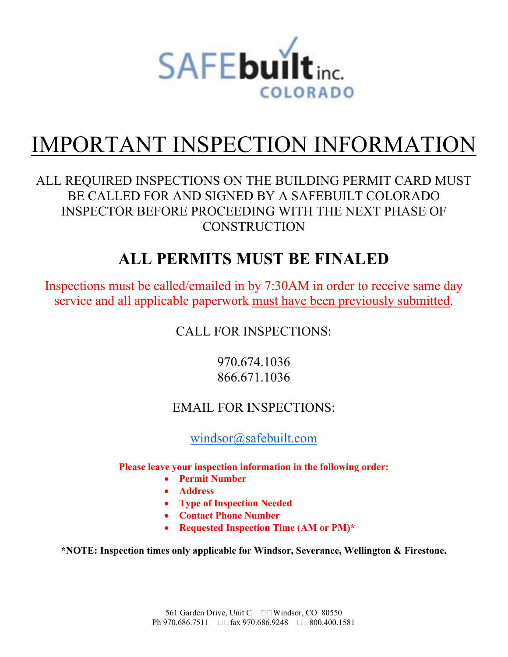

## IMPORTANT INSPECTION INFORMATION

#### ALL REQUIRED INSPECTIONS ON THE BUILDING PERMIT CARD MUST BE CALLED FOR AND SIGNED BY A SAFEBUILT COLORADO INSPECTOR BEFORE PROCEEDING WITH THE NEXT PHASE OF **CONSTRUCTION**

### **ALL PERMITS MUST BE FINALED**

Inspections must be called/emailed in by 7:30AM in order to receive same day service and all applicable paperwork must have been previously submitted.

CALL FOR INSPECTIONS:

970.674.1036 866.671.1036

#### EMAIL FOR INSPECTIONS:

windsor@safebuilt.com

**Please leave your inspection information in the following order:** 

- **Permit Number**
- **Address**
- **Type of Inspection Needed**
- **Contact Phone Number**
- **Requested Inspection Time (AM or PM)\***

**\*NOTE: Inspection times only applicable for Windsor, Severance, Wellington & Firestone.**